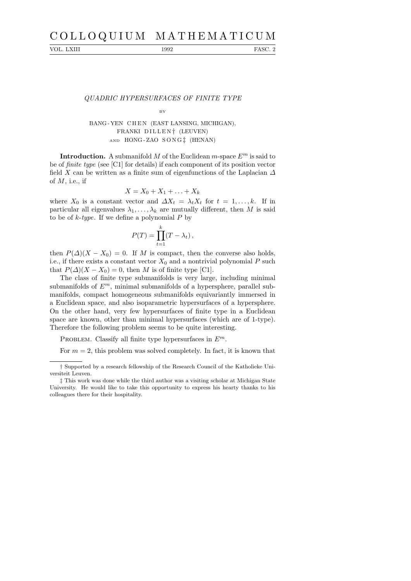VOL. LXIII 1992 FASC. 2

## QUADRIC HYPERSURFACES OF FINITE TYPE

#### **B**V

# BANG - YEN CHEN (EAST LANSING, MICHIGAN), FRANKI DILLEN<sup>†</sup> (LEUVEN) AND HONG - ZAO S O N G ‡ (HENAN)

**Introduction.** A submanifold M of the Euclidean m-space  $E^m$  is said to be of finite type (see [C1] for details) if each component of its position vector field X can be written as a finite sum of eigenfunctions of the Laplacian  $\Delta$ of  $M$ , i.e., if

$$
X = X_0 + X_1 + \ldots + X_k
$$

where  $X_0$  is a constant vector and  $\Delta X_t = \lambda_t X_t$  for  $t = 1, \ldots, k$ . If in particular all eigenvalues  $\lambda_1, \ldots, \lambda_k$  are mutually different, then M is said to be of  $k$ -type. If we define a polynomial  $P$  by

$$
P(T) = \prod_{t=1}^{k} (T - \lambda_t),
$$

then  $P(\Delta)(X - X_0) = 0$ . If M is compact, then the converse also holds, i.e., if there exists a constant vector  $X_0$  and a nontrivial polynomial P such that  $P(\Delta)(X - X_0) = 0$ , then M is of finite type [C1].

The class of finite type submanifolds is very large, including minimal submanifolds of  $E^m$ , minimal submanifolds of a hypersphere, parallel submanifolds, compact homogeneous submanifolds equivariantly immersed in a Euclidean space, and also isoparametric hypersurfaces of a hypersphere. On the other hand, very few hypersurfaces of finite type in a Euclidean space are known, other than minimal hypersurfaces (which are of 1-type). Therefore the following problem seems to be quite interesting.

PROBLEM. Classify all finite type hypersurfaces in  $E^m$ .

For  $m = 2$ , this problem was solved completely. In fact, it is known that

<sup>†</sup> Supported by a research fellowship of the Research Council of the Katholieke Universiteit Leuven.

<sup>‡</sup> This work was done while the third author was a visiting scholar at Michigan State University. He would like to take this opportunity to express his hearty thanks to his colleagues there for their hospitality.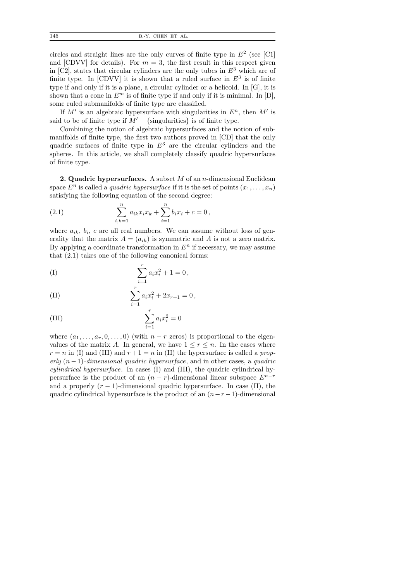circles and straight lines are the only curves of finite type in  $E<sup>2</sup>$  (see [C1] and [CDVV] for details). For  $m = 3$ , the first result in this respect given in [C2], states that circular cylinders are the only tubes in  $E<sup>3</sup>$  which are of finite type. In  $[CDVV]$  it is shown that a ruled surface in  $E^3$  is of finite type if and only if it is a plane, a circular cylinder or a helicoid. In [G], it is shown that a cone in  $E^m$  is of finite type if and only if it is minimal. In  $[D]$ , some ruled submanifolds of finite type are classified.

If  $M'$  is an algebraic hypersurface with singularities in  $E<sup>n</sup>$ , then  $M'$  is said to be of finite type if  $M' - \{\text{singularities}\}\$ is of finite type.

Combining the notion of algebraic hypersurfaces and the notion of submanifolds of finite type, the first two authors proved in [CD] that the only quadric surfaces of finite type in  $E^3$  are the circular cylinders and the spheres. In this article, we shall completely classify quadric hypersurfaces of finite type.

**2. Quadric hypersurfaces.** A subset  $M$  of an  $n$ -dimensional Euclidean space  $E^n$  is called a *quadric hypersurface* if it is the set of points  $(x_1, \ldots, x_n)$ satisfying the following equation of the second degree:

(2.1) 
$$
\sum_{i,k=1}^{n} a_{ik} x_i x_k + \sum_{i=1}^{n} b_i x_i + c = 0,
$$

where  $a_{ik}$ ,  $b_i$ , c are all real numbers. We can assume without loss of generality that the matrix  $A = (a_{ik})$  is symmetric and A is not a zero matrix. By applying a coordinate transformation in  $E<sup>n</sup>$  if necessary, we may assume that (2.1) takes one of the following canonical forms:

(I) 
$$
\sum_{i=1}^{r} a_i x_i^2 + 1 = 0,
$$

(II) 
$$
\sum_{i=1}^{r} a_i x_i^2 + 2x_{r+1} = 0,
$$

(III) 
$$
\sum_{i=1}^{r} a_i x_i^2 = 0
$$

where  $(a_1, \ldots, a_r, 0, \ldots, 0)$  (with  $n-r$  zeros) is proportional to the eigenvalues of the matrix A. In general, we have  $1 \leq r \leq n$ . In the cases where  $r = n$  in (I) and (III) and  $r + 1 = n$  in (II) the hypersurface is called a properly  $(n-1)$ -dimensional quadric hypersurface, and in other cases, a quadric cylindrical hypersurface. In cases (I) and (III), the quadric cylindrical hypersurface is the product of an  $(n - r)$ -dimensional linear subspace  $E^{n-r}$ and a properly  $(r - 1)$ -dimensional quadric hypersurface. In case (II), the quadric cylindrical hypersurface is the product of an  $(n-r-1)$ -dimensional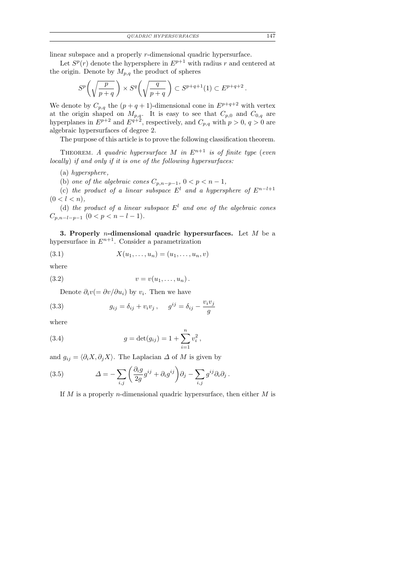linear subspace and a properly r-dimensional quadric hypersurface.

Let  $S^p(r)$  denote the hypersphere in  $E^{p+1}$  with radius r and centered at the origin. Denote by  $M_{p,q}$  the product of spheres

$$
S^{p}\left(\sqrt{\frac{p}{p+q}}\,\right) \times S^{q}\left(\sqrt{\frac{q}{p+q}}\,\right) \subset S^{p+q+1}(1) \subset E^{p+q+2}\,.
$$

We denote by  $C_{p,q}$  the  $(p+q+1)$ -dimensional cone in  $E^{p+q+2}$  with vertex at the origin shaped on  $M_{p,q}$ . It is easy to see that  $C_{p,0}$  and  $C_{0,q}$  are hyperplanes in  $E^{p+2}$  and  $E^{q+2}$ , respectively, and  $C_{p,q}$  with  $p > 0$ ,  $q > 0$  are algebraic hypersurfaces of degree 2.

The purpose of this article is to prove the following classification theorem.

THEOREM. A quadric hypersurface M in  $E^{n+1}$  is of finite type (even locally) if and only if it is one of the following hypersurfaces:

(a) hypersphere,

(b) one of the algebraic cones  $C_{p,n-p-1}$ ,  $0 < p < n-1$ ,

(c) the product of a linear subspace  $E^l$  and a hypersphere of  $E^{n-l+1}$  $(0 < l < n),$ 

(d) the product of a linear subspace  $E^l$  and one of the algebraic cones  $C_{p,n-l-p-1}$   $(0 < p < n-l-1)$ .

3. Properly *n*-dimensional quadric hypersurfaces. Let  $M$  be a hypersurface in  $E^{n+1}$ . Consider a parametrization

(3.1) 
$$
X(u_1,...,u_n) = (u_1,...,u_n,v)
$$

where

$$
(3.2) \t v = v(u_1, \ldots, u_n).
$$

Denote  $\partial_i v (= \partial v / \partial u_i)$  by  $v_i$ . Then we have

(3.3) 
$$
g_{ij} = \delta_{ij} + v_i v_j, \quad g^{ij} = \delta_{ij} - \frac{v_i v_j}{g}
$$

where

(3.4) 
$$
g = \det(g_{ij}) = 1 + \sum_{i=1}^{n} v_i^2,
$$

and  $g_{ij} = \langle \partial_i X, \partial_j X \rangle$ . The Laplacian  $\Delta$  of M is given by

(3.5) 
$$
\Delta = -\sum_{i,j} \left( \frac{\partial_i g}{2g} g^{ij} + \partial_i g^{ij} \right) \partial_j - \sum_{i,j} g^{ij} \partial_i \partial_j.
$$

If M is a properly *n*-dimensional quadric hypersurface, then either M is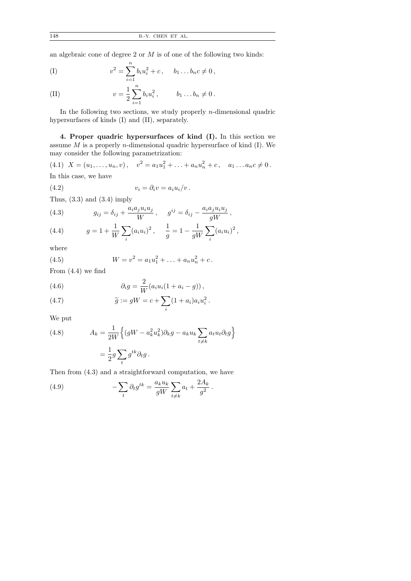an algebraic cone of degree 2 or  $M$  is of one of the following two kinds:

(I) 
$$
v^2 = \sum_{i=1}^n b_i u_i^2 + c, \quad b_1 \dots b_n c \neq 0,
$$

(II) 
$$
v = \frac{1}{2} \sum_{i=1}^{n} b_i u_i^2
$$
,  $b_1 \dots b_n \neq 0$ .

In the following two sections, we study properly  $n$ -dimensional quadric hypersurfaces of kinds (I) and (II), separately.

4. Proper quadric hypersurfaces of kind (I). In this section we assume  $M$  is a properly *n*-dimensional quadric hypersurface of kind  $(I)$ . We may consider the following parametrization:

(4.1)  $X = (u_1, \ldots, u_n, v), \quad v^2 = a_1 u_1^2 + \ldots + a_n u_n^2 + c, \quad a_1 \ldots a_n c \neq 0.$ 

In this case, we have

(4.2) 
$$
v_i = \partial_i v = a_i u_i / v.
$$

Thus,  $(3.3)$  and  $(3.4)$  imply

(4.3) 
$$
g_{ij} = \delta_{ij} + \frac{a_i a_j u_i u_j}{W}, \quad g^{ij} = \delta_{ij} - \frac{a_i a_j u_i u_j}{gW},
$$

(4.4) 
$$
g = 1 + \frac{1}{W} \sum_{i} (a_i u_i)^2, \quad \frac{1}{g} = 1 - \frac{1}{gW} \sum_{i} (a_i u_i)^2,
$$

where

(4.5) 
$$
W = v^2 = a_1 u_1^2 + \ldots + a_n u_n^2 + c.
$$

From (4.4) we find

(4.6) 
$$
\partial_i g = \frac{2}{W} (a_i u_i (1 + a_i - g)),
$$

(4.7) 
$$
\widetilde{g} := gW = c + \sum_{i} (1 + a_i) a_i u_i^2.
$$

We put

(4.8) 
$$
A_k = \frac{1}{2W} \left\{ (gW - a_k^2 u_k^2) \partial_k g - a_k u_k \sum_{t \neq k} a_t u_t \partial_t g \right\}
$$

$$
= \frac{1}{2} g \sum_t g^{tk} \partial_t g.
$$

Then from (4.3) and a straightforward computation, we have

(4.9) 
$$
-\sum_{t} \partial_{t} g^{tk} = \frac{a_{k} u_{k}}{gW} \sum_{t \neq k} a_{t} + \frac{2A_{k}}{g^{2}}.
$$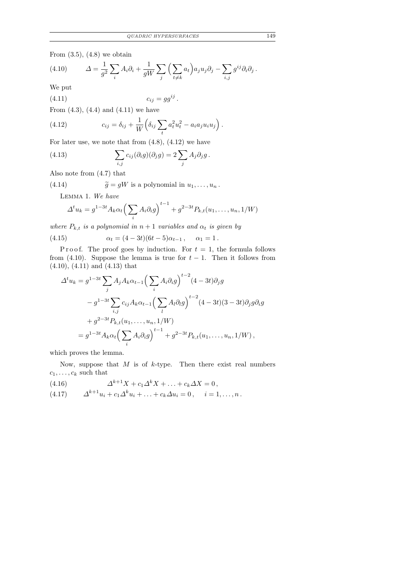From  $(3.5)$ ,  $(4.8)$  we obtain

(4.10) 
$$
\Delta = \frac{1}{g^2} \sum_i A_i \partial_i + \frac{1}{gW} \sum_j \left( \sum_{t \neq k} a_t \right) a_j u_j \partial_j - \sum_{i,j} g^{ij} \partial_i \partial_j.
$$

We put

$$
(4.11) \t\t\t c_{ij} = gg^{ij}.
$$

From  $(4.3)$ ,  $(4.4)$  and  $(4.11)$  we have

(4.12) 
$$
c_{ij} = \delta_{ij} + \frac{1}{W} \left( \delta_{ij} \sum_t a_t^2 u_t^2 - a_i a_j u_i u_j \right).
$$

For later use, we note that from  $(4.8)$ ,  $(4.12)$  we have

(4.13) 
$$
\sum_{i,j} c_{ij}(\partial_i g)(\partial_j g) = 2 \sum_j A_j \partial_j g.
$$

Also note from (4.7) that

(4.14)  $\widetilde{g} = gW$  is a polynomial in  $u_1, \ldots, u_n$ .

Lemma 1. We have

$$
\Delta^t u_k = g^{1-3t} A_k \alpha_t \left( \sum_i A_i \partial_i g \right)^{t-1} + g^{2-3t} P_{k,t}(u_1, \dots, u_n, 1/W)
$$

where  $P_{k,t}$  is a polynomial in  $n+1$  variables and  $\alpha_t$  is given by

(4.15) 
$$
\alpha_t = (4 - 3t)(6t - 5)\alpha_{t-1}, \quad \alpha_1 = 1.
$$

P r o o f. The proof goes by induction. For  $t = 1$ , the formula follows from (4.10). Suppose the lemma is true for  $t-1$ . Then it follows from (4.10), (4.11) and (4.13) that

$$
\Delta^{t} u_{k} = g^{1-3t} \sum_{j} A_{j} A_{k} \alpha_{t-1} \Big( \sum_{i} A_{i} \partial_{i} g \Big)^{t-2} (4-3t) \partial_{j} g
$$
  

$$
- g^{1-3t} \sum_{i,j} c_{ij} A_{k} \alpha_{t-1} \Big( \sum_{l} A_{l} \partial_{l} g \Big)^{t-2} (4-3t) (3-3t) \partial_{j} g \partial_{i} g
$$
  

$$
+ g^{2-3t} P_{k,t}(u_{1}, \dots, u_{n}, 1/W)
$$
  

$$
= g^{1-3t} A_{k} \alpha_{t} \Big( \sum_{i} A_{i} \partial_{i} g \Big)^{t-1} + g^{2-3t} P_{k,t}(u_{1}, \dots, u_{n}, 1/W),
$$

which proves the lemma.

Now, suppose that  $M$  is of  $k$ -type. Then there exist real numbers  $c_1, \ldots, c_k$  such that

(4.16) 
$$
\Delta^{k+1} X + c_1 \Delta^k X + \ldots + c_k \Delta X = 0, (4.17) \qquad \Delta^{k+1} u_i + c_1 \Delta^k u_i + \ldots + c_k \Delta u_i = 0, \quad i = 1, \ldots, n.
$$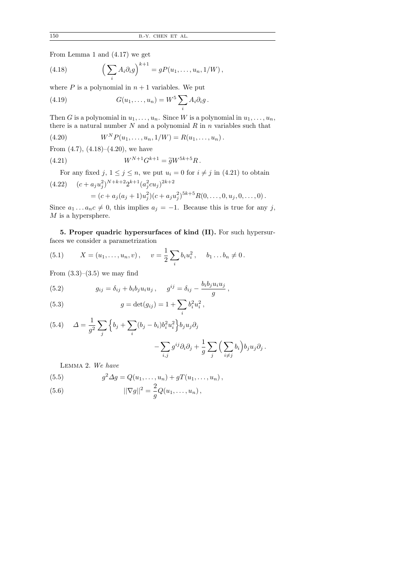From Lemma 1 and (4.17) we get

(4.18) 
$$
\left(\sum_{i} A_{i} \partial_{i} g\right)^{k+1} = g P(u_{1}, \ldots, u_{n}, 1/W),
$$

where  $P$  is a polynomial in  $n + 1$  variables. We put

(4.19) 
$$
G(u_1,\ldots,u_n)=W^5\sum_i A_i \partial_i g.
$$

Then G is a polynomial in  $u_1, \ldots, u_n$ . Since W is a polynomial in  $u_1, \ldots, u_n$ , there is a natural number  $N$  and a polynomial  $R$  in  $n$  variables such that

(4.20) 
$$
W^{N}P(u_{1},...,u_{n},1/W) = R(u_{1},...,u_{n}).
$$

From  $(4.7)$ ,  $(4.18)$ – $(4.20)$ , we have

(4.21) 
$$
W^{N+1}G^{k+1} = \tilde{g}W^{5k+5}R.
$$

For any fixed j,  $1 \leq j \leq n$ , we put  $u_i = 0$  for  $i \neq j$  in (4.21) to obtain

$$
(4.22) \quad (c+a_ju_j^2)^{N+k+2}2^{k+1}(a_j^2cu_j)^{2k+2}
$$
  
= 
$$
(c+a_j(a_j+1)u_j^2)(c+a_ju_j^2)^{5k+5}R(0,\ldots,0,u_j,0,\ldots,0).
$$

Since  $a_1 \ldots a_n c \neq 0$ , this implies  $a_j = -1$ . Because this is true for any j,  ${\cal M}$  is a hypersphere.

5. Proper quadric hypersurfaces of kind (II). For such hypersurfaces we consider a parametrization

,

(5.1) 
$$
X = (u_1, \dots, u_n, v), \quad v = \frac{1}{2} \sum_i b_i u_i^2, \quad b_1 \dots b_n \neq 0.
$$

From  $(3.3)$ – $(3.5)$  we may find

(5.2) 
$$
g_{ij} = \delta_{ij} + b_i b_j u_i u_j, \quad g^{ij} = \delta_{ij} - \frac{b_i b_j u_i u_j}{g}
$$

(5.3) 
$$
g = \det(g_{ij}) = 1 + \sum_{i} b_i^2 u_i^2,
$$

(5.4) 
$$
\Delta = \frac{1}{g^2} \sum_j \left\{ b_j + \sum_i (b_j - b_i) b_i^2 u_i^2 \right\} b_j u_j \partial_j - \sum_{i,j} g^{ij} \partial_i \partial_j + \frac{1}{g} \sum_j \left( \sum_{i \neq j} b_i \right) b_j u_j \partial_j.
$$

Lemma 2. We have

(5.5) 
$$
g^{2} \Delta g = Q(u_{1},...,u_{n}) + gT(u_{1},...,u_{n}),
$$

$$
||\nabla g||^{2} = \frac{2}{q}Q(u_{1},...,u_{n}),
$$

(5.6) 
$$
||\nabla g||^2 = \frac{2}{g}Q(u_1, \dots, u_n),
$$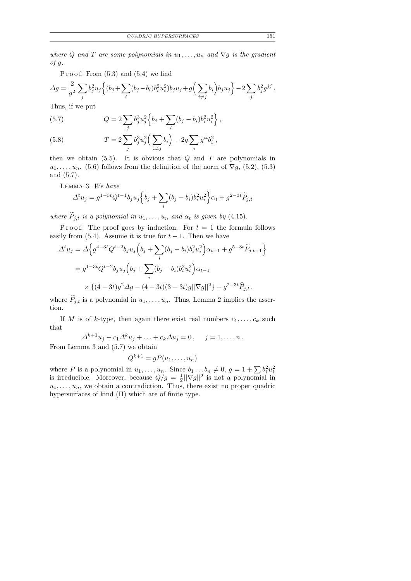where Q and T are some polynomials in  $u_1, \ldots, u_n$  and  $\nabla g$  is the gradient of g.

P r o o f. From  $(5.3)$  and  $(5.4)$  we find

$$
\Delta g = \frac{2}{g^2} \sum_j b_j^2 u_j \left\{ (b_j + \sum_i (b_j - b_i) b_i^2 u_i^2) b_j u_j + g \left( \sum_{i \neq j} b_i \right) b_j u_j \right\} - 2 \sum_j b_j^2 g^{jj}
$$

Thus, if we put

(5.7) 
$$
Q = 2 \sum_{j} b_j^3 u_j^2 \left\{ b_j + \sum_{i} (b_j - b_i) b_i^2 u_i^2 \right\},
$$

(5.8) 
$$
T = 2 \sum_{j} b_j^3 u_j^2 \left( \sum_{i \neq j} b_i \right) - 2g \sum_{i} g^{ii} b_i^2,
$$

then we obtain  $(5.5)$ . It is obvious that Q and T are polynomials in  $u_1, \ldots, u_n$ . (5.6) follows from the definition of the norm of  $\nabla g$ , (5.2), (5.3) and (5.7).

Lemma 3. We have

$$
\Delta^t u_j = g^{1-3t} Q^{t-1} b_j u_j \left\{ b_j + \sum_i (b_j - b_i) b_i^2 u_i^2 \right\} \alpha_t + g^{2-3t} \widetilde{P}_{j,t}
$$

where  $P_{j,t}$  is a polynomial in  $u_1, \ldots, u_n$  and  $\alpha_t$  is given by (4.15).

P r o o f. The proof goes by induction. For  $t = 1$  the formula follows easily from (5.4). Assume it is true for  $t-1$ . Then we have

$$
\Delta^{t} u_{j} = \Delta \Big\{ g^{4-3t} Q^{t-2} b_{j} u_{j} \Big( b_{j} + \sum_{i} (b_{j} - b_{i}) b_{i}^{2} u_{i}^{2} \Big) \alpha_{t-1} + g^{5-3t} \widetilde{P}_{j,t-1} \Big\}
$$
  
=  $g^{1-3t} Q^{t-2} b_{j} u_{j} \Big( b_{j} + \sum_{i} (b_{j} - b_{i}) b_{i}^{2} u_{i}^{2} \Big) \alpha_{t-1}$   
 $\times \{ (4-3t) g^{2} \Delta g - (4-3t) (3-3t) g ||\nabla g||^{2} \} + g^{2-3t} \widehat{P}_{j,t} .$ 

where  $\hat{P}_{j,t}$  is a polynomial in  $u_1, \ldots, u_n$ . Thus, Lemma 2 implies the assertion.

If M is of k-type, then again there exist real numbers  $c_1, \ldots, c_k$  such that

 $\Delta^{k+1} u_j + c_1 \Delta^k u_j + \ldots + c_k \Delta u_j = 0, \quad j = 1, \ldots, n$ . From Lemma 3 and (5.7) we obtain

$$
Q^{k+1} = gP(u_1, \ldots, u_n)
$$

where P is a polynomial in  $u_1, \ldots, u_n$ . Since  $b_1 \ldots b_n \neq 0$ ,  $g = 1 + \sum b_i^2 u_i^2$  is irreducible. Moreover, because  $Q/g = \frac{1}{2} ||\nabla g||^2$  is not a polynomial in  $\frac{1}{2}||\nabla g||^2$  is not a polynomial in  $u_1, \ldots, u_n$ , we obtain a contradiction. Thus, there exist no proper quadric hypersurfaces of kind (II) which are of finite type.

.